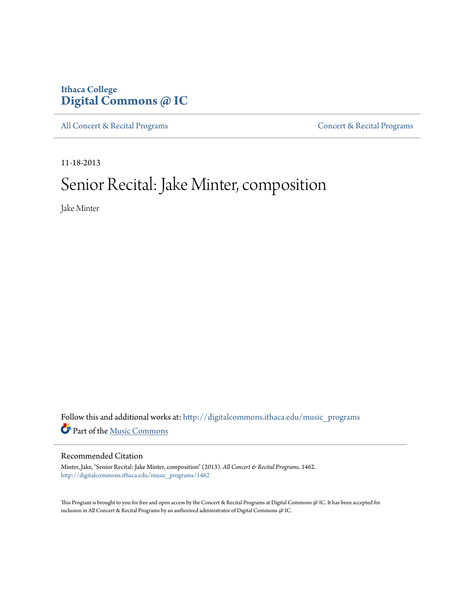### **Ithaca College [Digital Commons @ IC](http://digitalcommons.ithaca.edu?utm_source=digitalcommons.ithaca.edu%2Fmusic_programs%2F1462&utm_medium=PDF&utm_campaign=PDFCoverPages)**

[All Concert & Recital Programs](http://digitalcommons.ithaca.edu/music_programs?utm_source=digitalcommons.ithaca.edu%2Fmusic_programs%2F1462&utm_medium=PDF&utm_campaign=PDFCoverPages) **[Concert & Recital Programs](http://digitalcommons.ithaca.edu/som_programs?utm_source=digitalcommons.ithaca.edu%2Fmusic_programs%2F1462&utm_medium=PDF&utm_campaign=PDFCoverPages)** 

11-18-2013

# Senior Recital: Jake Minter, composition

Jake Minter

Follow this and additional works at: [http://digitalcommons.ithaca.edu/music\\_programs](http://digitalcommons.ithaca.edu/music_programs?utm_source=digitalcommons.ithaca.edu%2Fmusic_programs%2F1462&utm_medium=PDF&utm_campaign=PDFCoverPages) Part of the [Music Commons](http://network.bepress.com/hgg/discipline/518?utm_source=digitalcommons.ithaca.edu%2Fmusic_programs%2F1462&utm_medium=PDF&utm_campaign=PDFCoverPages)

#### Recommended Citation

Minter, Jake, "Senior Recital: Jake Minter, composition" (2013). *All Concert & Recital Programs*. 1462. [http://digitalcommons.ithaca.edu/music\\_programs/1462](http://digitalcommons.ithaca.edu/music_programs/1462?utm_source=digitalcommons.ithaca.edu%2Fmusic_programs%2F1462&utm_medium=PDF&utm_campaign=PDFCoverPages)

This Program is brought to you for free and open access by the Concert & Recital Programs at Digital Commons @ IC. It has been accepted for inclusion in All Concert & Recital Programs by an authorized administrator of Digital Commons @ IC.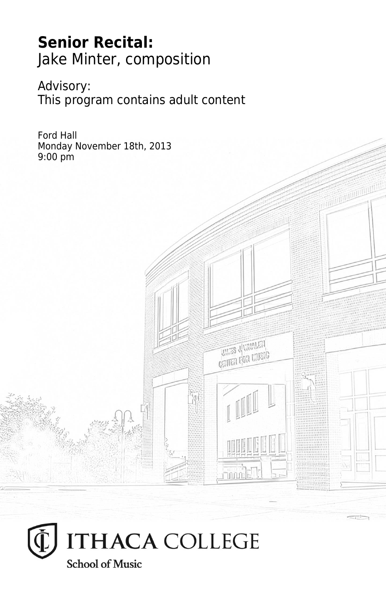# **Senior Recital:** Jake Minter, composition

Advisory: This program contains adult content

**THES** JUNIALET **CRITER FOR LIVEIG** 

Ford Hall Monday November 18th, 2013 9:00 pm

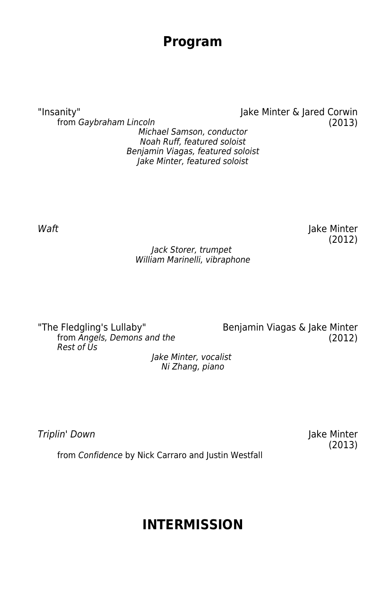### **Program**

from Gaybraham Lincoln (2013) Michael Samson, conductor Noah Ruff, featured soloist Benjamin Viagas, featured soloist Jake Minter, featured soloist

"Insanity" Jake Minter & Jared Corwin

Waft **Waft Jake Minter** (2012)

#### Jack Storer, trumpet William Marinelli, vibraphone

The Fledgling's Lullaby" Benjamin Viagas & Jake Minter<br>from Angels, Demons and the (2012) from Angels, Demons and the Rest of Us

Jake Minter, vocalist Ni Zhang, piano

Triplin' Down Jake Minter

(2013)

from Confidence by Nick Carraro and Justin Westfall

# **INTERMISSION**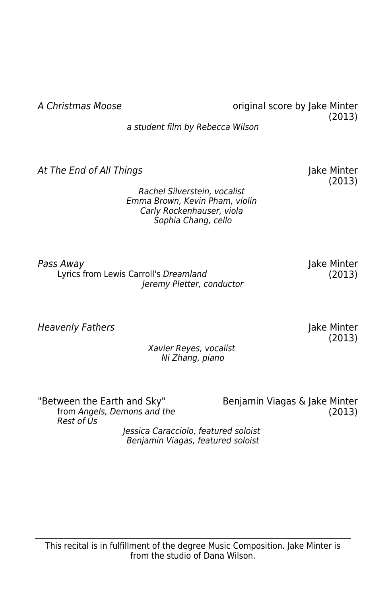At The End of All Things The Contract Contract and the Minter

Rachel Silverstein, vocalist Emma Brown, Kevin Pham, violin Carly Rockenhauser, viola Sophia Chang, cello

Pass Away Jake Minter Lyrics from Lewis Carroll's Dreamland (2013) Jeremy Pletter, conductor

Heavenly Fathers and the Communication of the Minter of the Minter of the Minter

Xavier Reyes, vocalist Ni Zhang, piano

"Between the Earth and Sky" Benjamin Viagas & Jake Minter Rest of Us

from Angels, Demons and the (2013)

Jessica Caracciolo, featured soloist Benjamin Viagas, featured soloist

A Christmas Moose **A Christmas Moose** original score by Jake Minter (2013)

a student film by Rebecca Wilson

(2013)

(2013)